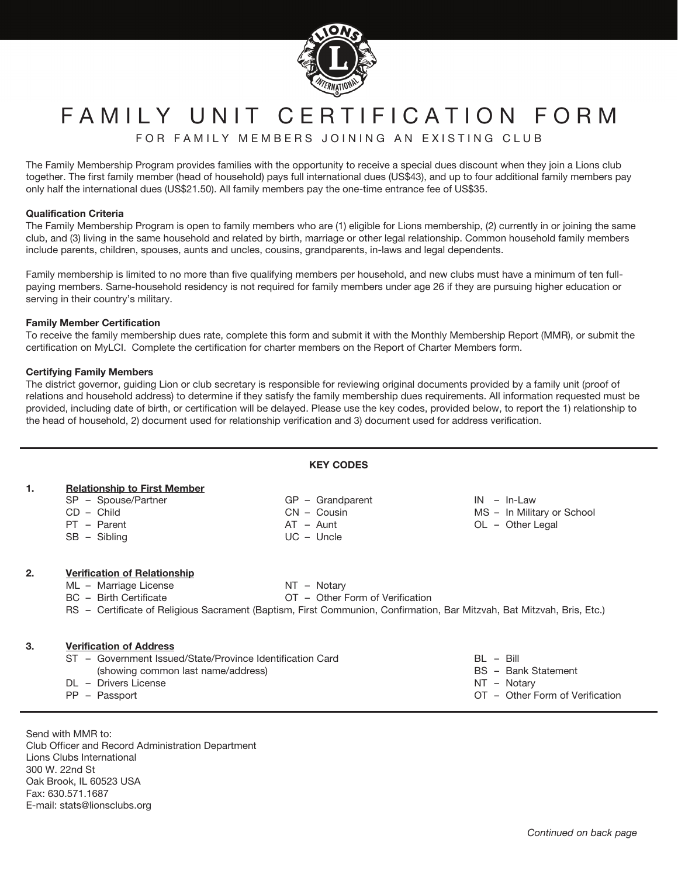

# FAMILY UNIT CERTIFICATION FORM

FOR FAMILY MEMBERS JOINING AN EXISTING CLUB

The Family Membership Program provides families with the opportunity to receive a special dues discount when they join a Lions club together. The first family member (head of household) pays full international dues (US\$43), and up to four additional family members pay only half the international dues (US\$21.50). All family members pay the one-time entrance fee of US\$35.

#### **Qualification Criteria**

The Family Membership Program is open to family members who are (1) eligible for Lions membership, (2) currently in or joining the same club, and (3) living in the same household and related by birth, marriage or other legal relationship. Common household family members include parents, children, spouses, aunts and uncles, cousins, grandparents, in-laws and legal dependents.

Family membership is limited to no more than five qualifying members per household, and new clubs must have a minimum of ten fullpaying members. Same-household residency is not required for family members under age 26 if they are pursuing higher education or serving in their country's military.

### **Family Member Certification**

To receive the family membership dues rate, complete this form and submit it with the Monthly Membership Report (MMR), or submit the certification on MyLCI. Complete the certification for charter members on the Report of Charter Members form.

### **Certifying Family Members**

The district governor, guiding Lion or club secretary is responsible for reviewing original documents provided by a family unit (proof of relations and household address) to determine if they satisfy the family membership dues requirements. All information requested must be provided, including date of birth, or certification will be delayed. Please use the key codes, provided below, to report the 1) relationship to the head of household, 2) document used for relationship verification and 3) document used for address verification.

| <b>KEY CODES</b> |                                                                                                                                                                                                                  |                                                                                      |                                                                 |  |  |  |  |  |  |
|------------------|------------------------------------------------------------------------------------------------------------------------------------------------------------------------------------------------------------------|--------------------------------------------------------------------------------------|-----------------------------------------------------------------|--|--|--|--|--|--|
| 1.               | <b>Relationship to First Member</b><br>SP - Spouse/Partner<br>$CD - Child$<br>PT - Parent<br>$SB - Sibling$                                                                                                      | $GP - Grandparent$<br>$CN - \text{Cousin}$<br>AT - Aunt<br>$UC -$ Uncle              | $IN - In-Law$<br>MS - In Military or School<br>OL - Other Legal |  |  |  |  |  |  |
| 2.               | <b>Verification of Relationship</b><br>ML - Marriage License<br>BC - Birth Certificate<br>RS – Certificate of Religious Sacrament (Baptism, First Communion, Confirmation, Bar Mitzvah, Bat Mitzvah, Bris, Etc.) | NT - Notary<br>OT - Other Form of Verification                                       |                                                                 |  |  |  |  |  |  |
| 3.               | <b>Verification of Address</b><br>ST - Government Issued/State/Province Identification Card<br>(showing common last name/address)<br>DL - Drivers License<br>PP - Passport                                       | $BL - Bill$<br>BS - Bank Statement<br>NT - Notary<br>OT - Other Form of Verification |                                                                 |  |  |  |  |  |  |

Send with MMR to: Club Officer and Record Administration Department Lions Clubs International 300 W. 22nd St Oak Brook, IL 60523 USA Fax: 630.571.1687 E-mail: stats@lionsclubs.org